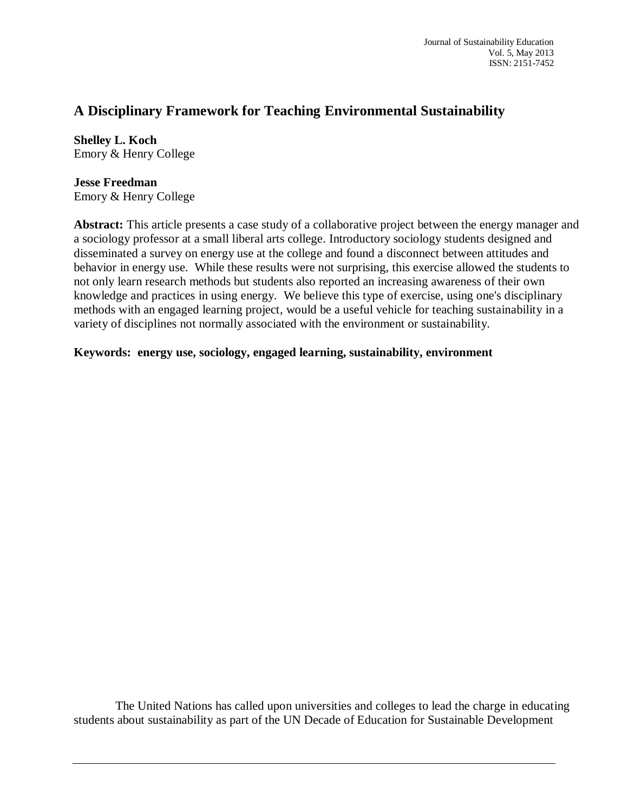# **A Disciplinary Framework for Teaching Environmental Sustainability**

**Shelley L. Koch** Emory & Henry College

# **Jesse Freedman**

Emory & Henry College

**Abstract:** This article presents a case study of a collaborative project between the energy manager and a sociology professor at a small liberal arts college. Introductory sociology students designed and disseminated a survey on energy use at the college and found a disconnect between attitudes and behavior in energy use. While these results were not surprising, this exercise allowed the students to not only learn research methods but students also reported an increasing awareness of their own knowledge and practices in using energy. We believe this type of exercise, using one's disciplinary methods with an engaged learning project, would be a useful vehicle for teaching sustainability in a variety of disciplines not normally associated with the environment or sustainability.

## **Keywords: energy use, sociology, engaged learning, sustainability, environment**

The United Nations has called upon universities and colleges to lead the charge in educating students about sustainability as part of the UN Decade of Education for Sustainable Development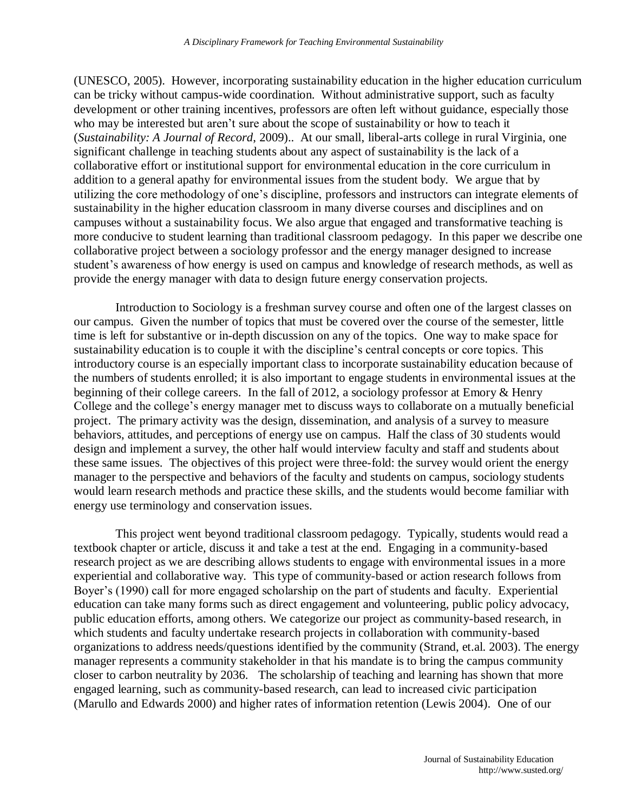(UNESCO, 2005). However, incorporating sustainability education in the higher education curriculum can be tricky without campus-wide coordination. Without administrative support, such as faculty development or other training incentives, professors are often left without guidance, especially those who may be interested but aren't sure about the scope of sustainability or how to teach it (*Sustainability: A Journal of Record*, 2009).. At our small, liberal-arts college in rural Virginia, one significant challenge in teaching students about any aspect of sustainability is the lack of a collaborative effort or institutional support for environmental education in the core curriculum in addition to a general apathy for environmental issues from the student body. We argue that by utilizing the core methodology of one's discipline, professors and instructors can integrate elements of sustainability in the higher education classroom in many diverse courses and disciplines and on campuses without a sustainability focus. We also argue that engaged and transformative teaching is more conducive to student learning than traditional classroom pedagogy. In this paper we describe one collaborative project between a sociology professor and the energy manager designed to increase student's awareness of how energy is used on campus and knowledge of research methods, as well as provide the energy manager with data to design future energy conservation projects.

Introduction to Sociology is a freshman survey course and often one of the largest classes on our campus. Given the number of topics that must be covered over the course of the semester, little time is left for substantive or in-depth discussion on any of the topics. One way to make space for sustainability education is to couple it with the discipline's central concepts or core topics. This introductory course is an especially important class to incorporate sustainability education because of the numbers of students enrolled; it is also important to engage students in environmental issues at the beginning of their college careers. In the fall of 2012, a sociology professor at Emory & Henry College and the college's energy manager met to discuss ways to collaborate on a mutually beneficial project. The primary activity was the design, dissemination, and analysis of a survey to measure behaviors, attitudes, and perceptions of energy use on campus. Half the class of 30 students would design and implement a survey, the other half would interview faculty and staff and students about these same issues. The objectives of this project were three-fold: the survey would orient the energy manager to the perspective and behaviors of the faculty and students on campus, sociology students would learn research methods and practice these skills, and the students would become familiar with energy use terminology and conservation issues.

This project went beyond traditional classroom pedagogy. Typically, students would read a textbook chapter or article, discuss it and take a test at the end. Engaging in a community-based research project as we are describing allows students to engage with environmental issues in a more experiential and collaborative way. This type of community-based or action research follows from Boyer's (1990) call for more engaged scholarship on the part of students and faculty. Experiential education can take many forms such as direct engagement and volunteering, public policy advocacy, public education efforts, among others. We categorize our project as community-based research, in which students and faculty undertake research projects in collaboration with community-based organizations to address needs/questions identified by the community (Strand, et.al. 2003). The energy manager represents a community stakeholder in that his mandate is to bring the campus community closer to carbon neutrality by 2036. The scholarship of teaching and learning has shown that more engaged learning, such as community-based research, can lead to increased civic participation (Marullo and Edwards 2000) and higher rates of information retention (Lewis 2004). One of our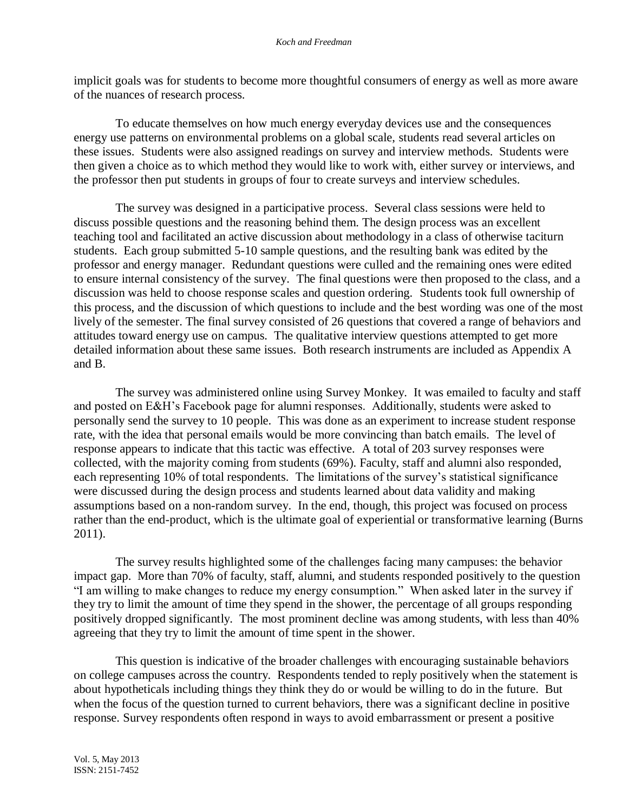implicit goals was for students to become more thoughtful consumers of energy as well as more aware of the nuances of research process.

To educate themselves on how much energy everyday devices use and the consequences energy use patterns on environmental problems on a global scale, students read several articles on these issues. Students were also assigned readings on survey and interview methods. Students were then given a choice as to which method they would like to work with, either survey or interviews, and the professor then put students in groups of four to create surveys and interview schedules.

The survey was designed in a participative process. Several class sessions were held to discuss possible questions and the reasoning behind them. The design process was an excellent teaching tool and facilitated an active discussion about methodology in a class of otherwise taciturn students. Each group submitted 5-10 sample questions, and the resulting bank was edited by the professor and energy manager. Redundant questions were culled and the remaining ones were edited to ensure internal consistency of the survey. The final questions were then proposed to the class, and a discussion was held to choose response scales and question ordering. Students took full ownership of this process, and the discussion of which questions to include and the best wording was one of the most lively of the semester. The final survey consisted of 26 questions that covered a range of behaviors and attitudes toward energy use on campus. The qualitative interview questions attempted to get more detailed information about these same issues. Both research instruments are included as Appendix A and B.

The survey was administered online using Survey Monkey. It was emailed to faculty and staff and posted on E&H's Facebook page for alumni responses. Additionally, students were asked to personally send the survey to 10 people. This was done as an experiment to increase student response rate, with the idea that personal emails would be more convincing than batch emails. The level of response appears to indicate that this tactic was effective. A total of 203 survey responses were collected, with the majority coming from students (69%). Faculty, staff and alumni also responded, each representing 10% of total respondents. The limitations of the survey's statistical significance were discussed during the design process and students learned about data validity and making assumptions based on a non-random survey. In the end, though, this project was focused on process rather than the end-product, which is the ultimate goal of experiential or transformative learning (Burns 2011).

The survey results highlighted some of the challenges facing many campuses: the behavior impact gap. More than 70% of faculty, staff, alumni, and students responded positively to the question "I am willing to make changes to reduce my energy consumption." When asked later in the survey if they try to limit the amount of time they spend in the shower, the percentage of all groups responding positively dropped significantly. The most prominent decline was among students, with less than 40% agreeing that they try to limit the amount of time spent in the shower.

This question is indicative of the broader challenges with encouraging sustainable behaviors on college campuses across the country. Respondents tended to reply positively when the statement is about hypotheticals including things they think they do or would be willing to do in the future. But when the focus of the question turned to current behaviors, there was a significant decline in positive response. Survey respondents often respond in ways to avoid embarrassment or present a positive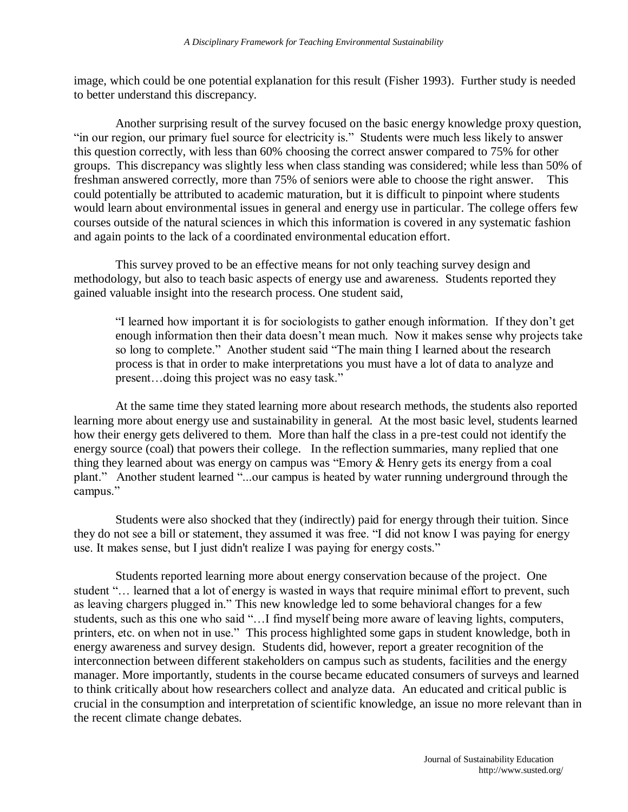image, which could be one potential explanation for this result (Fisher 1993). Further study is needed to better understand this discrepancy.

Another surprising result of the survey focused on the basic energy knowledge proxy question, "in our region, our primary fuel source for electricity is." Students were much less likely to answer this question correctly, with less than 60% choosing the correct answer compared to 75% for other groups. This discrepancy was slightly less when class standing was considered; while less than 50% of freshman answered correctly, more than 75% of seniors were able to choose the right answer. This could potentially be attributed to academic maturation, but it is difficult to pinpoint where students would learn about environmental issues in general and energy use in particular. The college offers few courses outside of the natural sciences in which this information is covered in any systematic fashion and again points to the lack of a coordinated environmental education effort.

This survey proved to be an effective means for not only teaching survey design and methodology, but also to teach basic aspects of energy use and awareness. Students reported they gained valuable insight into the research process. One student said,

"I learned how important it is for sociologists to gather enough information. If they don't get enough information then their data doesn't mean much. Now it makes sense why projects take so long to complete." Another student said "The main thing I learned about the research process is that in order to make interpretations you must have a lot of data to analyze and present…doing this project was no easy task."

At the same time they stated learning more about research methods, the students also reported learning more about energy use and sustainability in general. At the most basic level, students learned how their energy gets delivered to them. More than half the class in a pre-test could not identify the energy source (coal) that powers their college. In the reflection summaries, many replied that one thing they learned about was energy on campus was "Emory & Henry gets its energy from a coal plant." Another student learned "...our campus is heated by water running underground through the campus."

Students were also shocked that they (indirectly) paid for energy through their tuition. Since they do not see a bill or statement, they assumed it was free. "I did not know I was paying for energy use. It makes sense, but I just didn't realize I was paying for energy costs."

Students reported learning more about energy conservation because of the project. One student "… learned that a lot of energy is wasted in ways that require minimal effort to prevent, such as leaving chargers plugged in." This new knowledge led to some behavioral changes for a few students, such as this one who said "…I find myself being more aware of leaving lights, computers, printers, etc. on when not in use." This process highlighted some gaps in student knowledge, both in energy awareness and survey design. Students did, however, report a greater recognition of the interconnection between different stakeholders on campus such as students, facilities and the energy manager. More importantly, students in the course became educated consumers of surveys and learned to think critically about how researchers collect and analyze data. An educated and critical public is crucial in the consumption and interpretation of scientific knowledge, an issue no more relevant than in the recent climate change debates.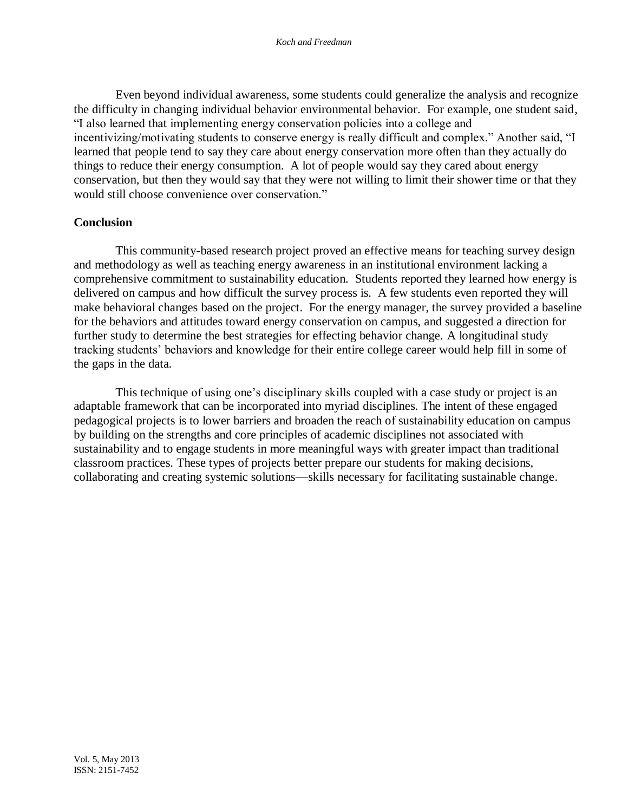Even beyond individual awareness, some students could generalize the analysis and recognize the difficulty in changing individual behavior environmental behavior. For example, one student said, "I also learned that implementing energy conservation policies into a college and incentivizing/motivating students to conserve energy is really difficult and complex." Another said, "I learned that people tend to say they care about energy conservation more often than they actually do things to reduce their energy consumption. A lot of people would say they cared about energy conservation, but then they would say that they were not willing to limit their shower time or that they would still choose convenience over conservation."

#### **Conclusion**

This community-based research project proved an effective means for teaching survey design and methodology as well as teaching energy awareness in an institutional environment lacking a comprehensive commitment to sustainability education. Students reported they learned how energy is delivered on campus and how difficult the survey process is. A few students even reported they will make behavioral changes based on the project. For the energy manager, the survey provided a baseline for the behaviors and attitudes toward energy conservation on campus, and suggested a direction for further study to determine the best strategies for effecting behavior change. A longitudinal study tracking students' behaviors and knowledge for their entire college career would help fill in some of the gaps in the data.

This technique of using one's disciplinary skills coupled with a case study or project is an adaptable framework that can be incorporated into myriad disciplines. The intent of these engaged pedagogical projects is to lower barriers and broaden the reach of sustainability education on campus by building on the strengths and core principles of academic disciplines not associated with sustainability and to engage students in more meaningful ways with greater impact than traditional classroom practices. These types of projects better prepare our students for making decisions, collaborating and creating systemic solutions—skills necessary for facilitating sustainable change.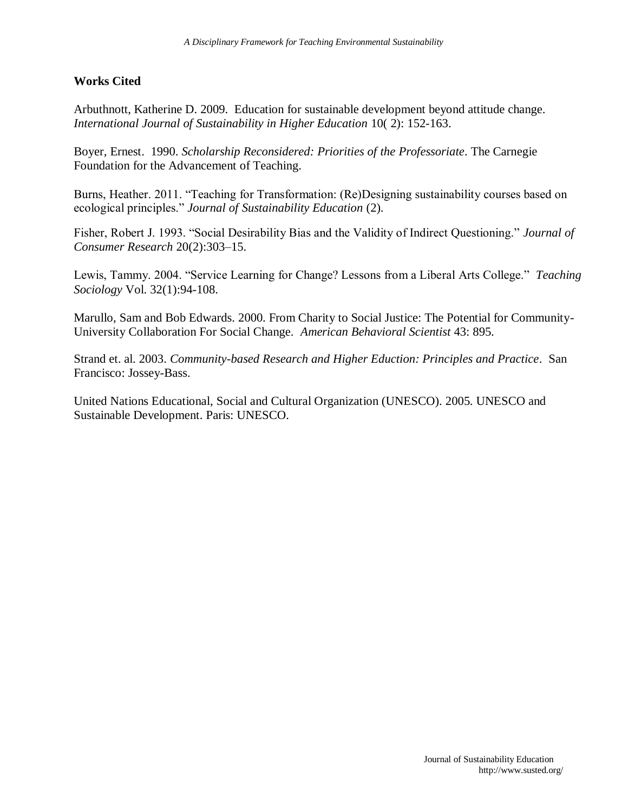### **Works Cited**

Arbuthnott, Katherine D. 2009. Education for sustainable development beyond attitude change. *International Journal of Sustainability in Higher Education* 10( 2): 152-163.

Boyer, Ernest. 1990. *Scholarship Reconsidered: Priorities of the Professoriate*. The Carnegie Foundation for the Advancement of Teaching.

Burns, Heather. 2011. "Teaching for Transformation: (Re)Designing sustainability courses based on ecological principles." *Journal of Sustainability Education* (2).

Fisher, Robert J. 1993. "Social Desirability Bias and the Validity of Indirect Questioning." *Journal of Consumer Research* 20(2):303–15.

Lewis, Tammy. 2004. "Service Learning for Change? Lessons from a Liberal Arts College." *Teaching Sociology* Vol. 32(1):94-108.

Marullo, Sam and Bob Edwards. 2000. From Charity to Social Justice: The Potential for Community-University Collaboration For Social Change. *American Behavioral Scientist* 43: 895.

Strand et. al. 2003. *Community-based Research and Higher Eduction: Principles and Practice*. San Francisco: Jossey-Bass.

United Nations Educational, Social and Cultural Organization (UNESCO). 2005. UNESCO and Sustainable Development. Paris: UNESCO.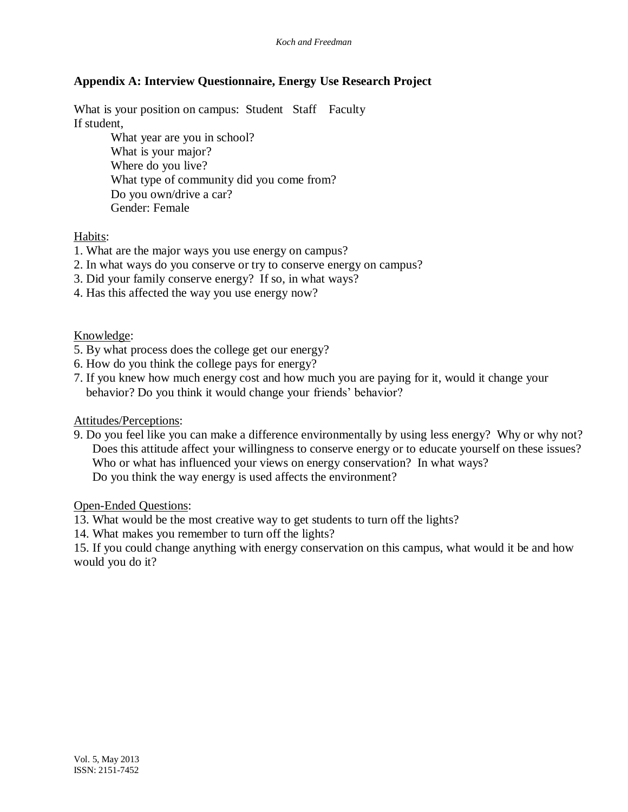## **Appendix A: Interview Questionnaire, Energy Use Research Project**

What is your position on campus: Student Staff Faculty If student,

> What year are you in school? What is your major? Where do you live? What type of community did you come from? Do you own/drive a car? Gender: Female

### Habits:

- 1. What are the major ways you use energy on campus?
- 2. In what ways do you conserve or try to conserve energy on campus?
- 3. Did your family conserve energy? If so, in what ways?
- 4. Has this affected the way you use energy now?

Knowledge:

- 5. By what process does the college get our energy?
- 6. How do you think the college pays for energy?
- 7. If you knew how much energy cost and how much you are paying for it, would it change your behavior? Do you think it would change your friends' behavior?

#### Attitudes/Perceptions:

9. Do you feel like you can make a difference environmentally by using less energy? Why or why not? Does this attitude affect your willingness to conserve energy or to educate yourself on these issues? Who or what has influenced your views on energy conservation? In what ways? Do you think the way energy is used affects the environment?

Open-Ended Questions:

- 13. What would be the most creative way to get students to turn off the lights?
- 14. What makes you remember to turn off the lights?

15. If you could change anything with energy conservation on this campus, what would it be and how would you do it?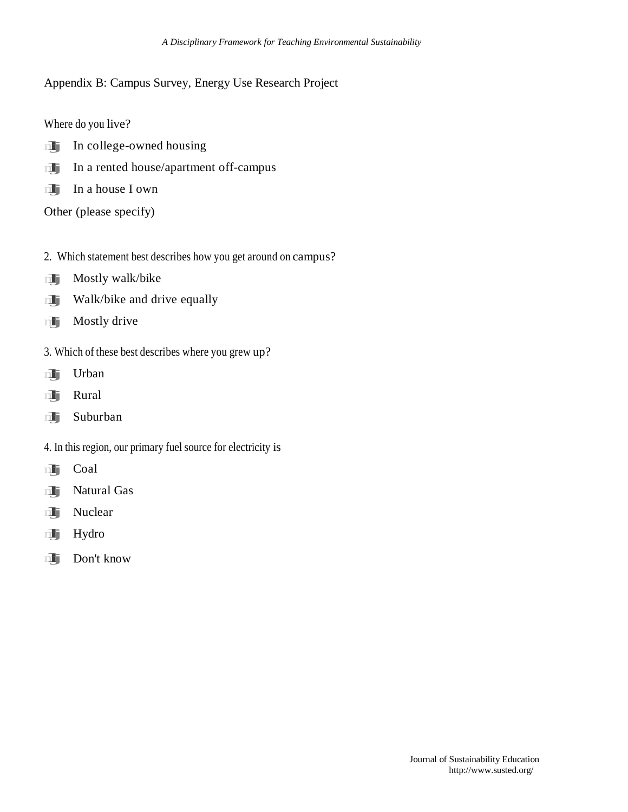## Appendix B: Campus Survey, Energy Use Research Project

Where do you live?

- mlj In college-owned housing
- In college-owned housing<br>In a rented house/apartment off-campus **in I** In a rented house<br>In a house I own
- 

Other (please specify)

- 2. Which statement best describes how you get around on campus?<br>
Mostly walk/bike
- 
- **Mostly walk/bike**<br>**Walk/bike and drive equally mlj** Walk/bike an<br>**Mostly drive**
- 
- 3. Which of these best describes where you grew up?<br>
Urban
- malje Urban<br>mlj Rural
- 
- mlj Suburban
- 4. In this region, our primary fuel source for electricity is<br>  $\Box$  Coal
- 
- mlj Coal<br>mlj Natural Gas mlj Natural<br>mlj Nuclear
- mlj Nuclear<br>mlj Hydro
- 
- mlj Don't know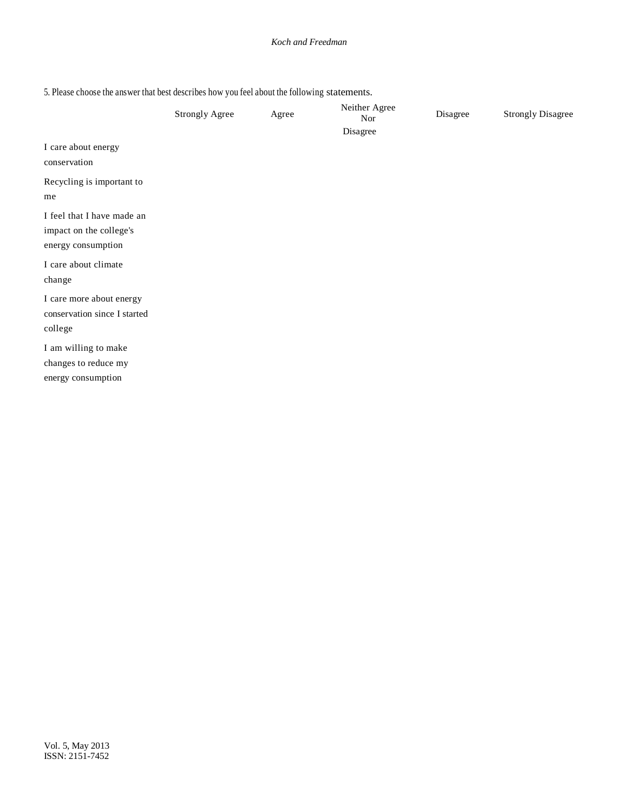5. Please choose the answer that best describes how you feel about the following statements.

|                                                                             | <b>Strongly Agree</b> | Agree | Neither Agree<br>Nor | Disagree | <b>Strongly Disagree</b> |
|-----------------------------------------------------------------------------|-----------------------|-------|----------------------|----------|--------------------------|
| I care about energy<br>conservation                                         |                       |       | Disagree             |          |                          |
| Recycling is important to<br>me                                             |                       |       |                      |          |                          |
| I feel that I have made an<br>impact on the college's<br>energy consumption |                       |       |                      |          |                          |
| I care about climate<br>change                                              |                       |       |                      |          |                          |
| I care more about energy<br>conservation since I started<br>college         |                       |       |                      |          |                          |
| I am willing to make<br>changes to reduce my<br>energy consumption          |                       |       |                      |          |                          |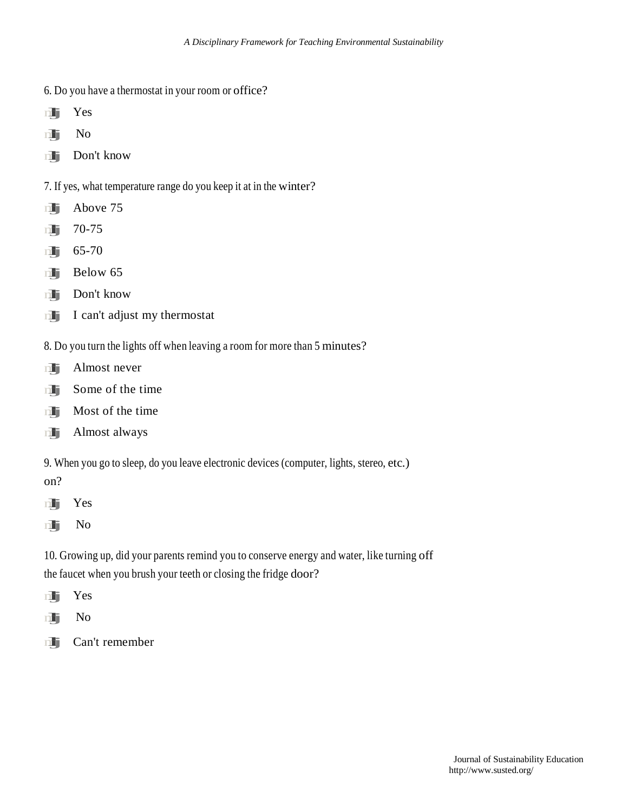- 6. Do you have a thermostat in your room or office?<br> **The S** Yes
- mlj Yes<br>mlj No
- 
- mlj Don't know
- 7. If yes, what temperature range do you keep it at in the winter?<br>
Above 75
- $\frac{1}{\sqrt{1}}$  Above 75
- mlj 70-75<br>mlj 65-70
- 
- $m$  Below 65
- **nli** Don't know
- $\mathbf{m}$  I can't adjust my thermostat
- 8. Do you turn the lights off when leaving a room for more than 5 minutes?<br>Almost never
- 
- **nlight** Some of the time
- **nlinks** Some of the time<br>**Most of the time nli** Most of the time<br>**nli** Almost always
- 
- 9. When you go to sleep, do you leave electronic devices (computer, lights, stereo, etc.)
- on?
- mlj Yes mlj Yes<br>mlj No
- 
- 10. Growing up, did your parents remind you to conserve energy and water, like turning off the faucet when you brush your teeth or closing the fridge door?<br>
Yes
- mlj Yes<br>mlj No
- 
- mlj Can't remember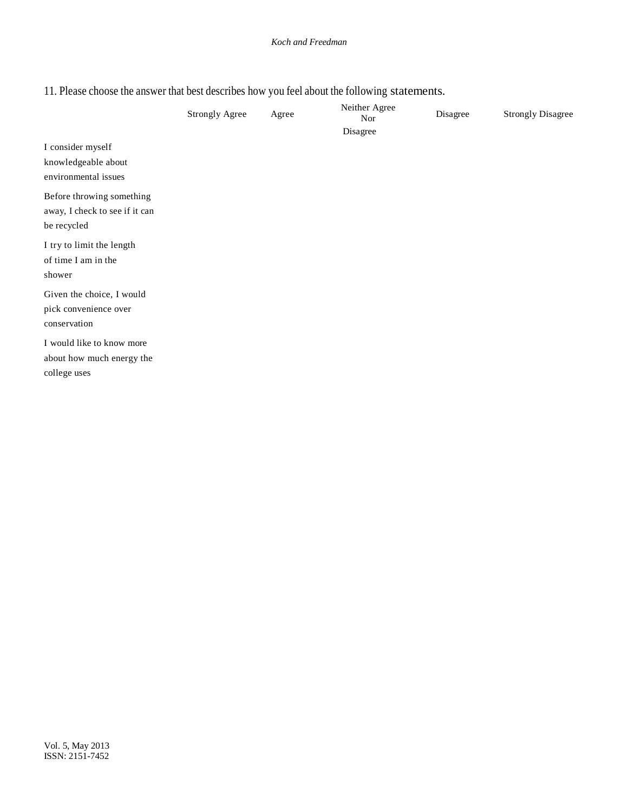# 11. Please choose the answer that best describes how you feel about the following statements.

|                                                                            | <b>Strongly Agree</b> | Agree | Neither Agree<br><b>Nor</b> | Disagree | <b>Strongly Disagree</b> |
|----------------------------------------------------------------------------|-----------------------|-------|-----------------------------|----------|--------------------------|
| I consider myself<br>knowledgeable about<br>environmental issues           |                       |       | Disagree                    |          |                          |
| Before throwing something<br>away, I check to see if it can<br>be recycled |                       |       |                             |          |                          |
| I try to limit the length<br>of time I am in the<br>shower                 |                       |       |                             |          |                          |
| Given the choice, I would<br>pick convenience over<br>conservation         |                       |       |                             |          |                          |
| I would like to know more<br>about how much energy the<br>college uses     |                       |       |                             |          |                          |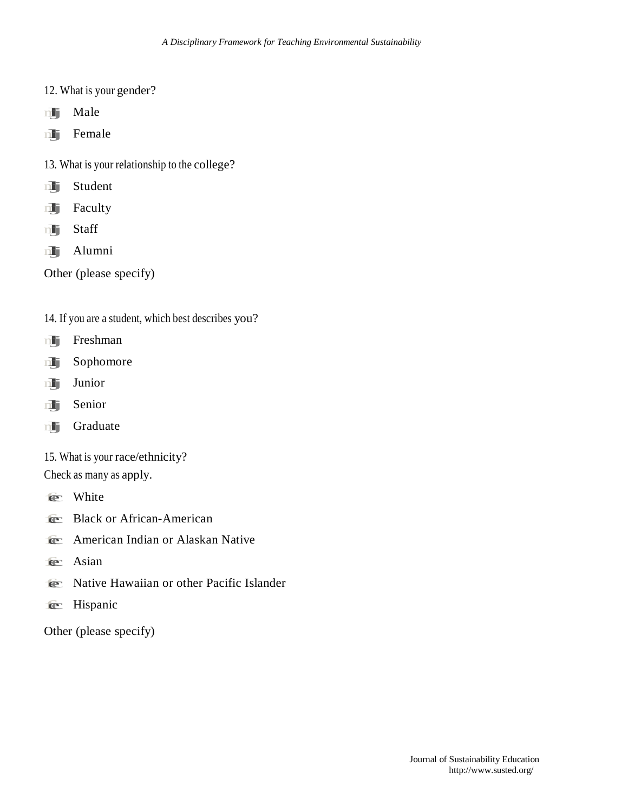- 12. What is your gender?<br> **Male**
- 
- mlj Male<br>mlj Female
- 13. What is your relationship to the college?<br>
Student
- **nlj** Student<br>**nlj** Faculty
- 
- n**li** Facu<br>n**li** Staff
- m**lij** Staff<br>mlij Alumni

Other (please specify)

- 14. If you are a student, which best describes you?<br> **Freshman**
- 
- **mlj** Freshman<br>**1917** Sophomore
- mlj Sopho<br>mlj Junior
- mlj Junior<br>mlj Senior
- mlj Graduate
- 15. What is your race/ethnicity?

Check as many as apply.

- $e$  White
- **E** Black or African-American
- **fec** American Indian or Alaskan Native
- $\epsilon$  Asian
- **Fec** Native Hawaiian or other Pacific Islander
- **e** Hispanic

Other (please specify)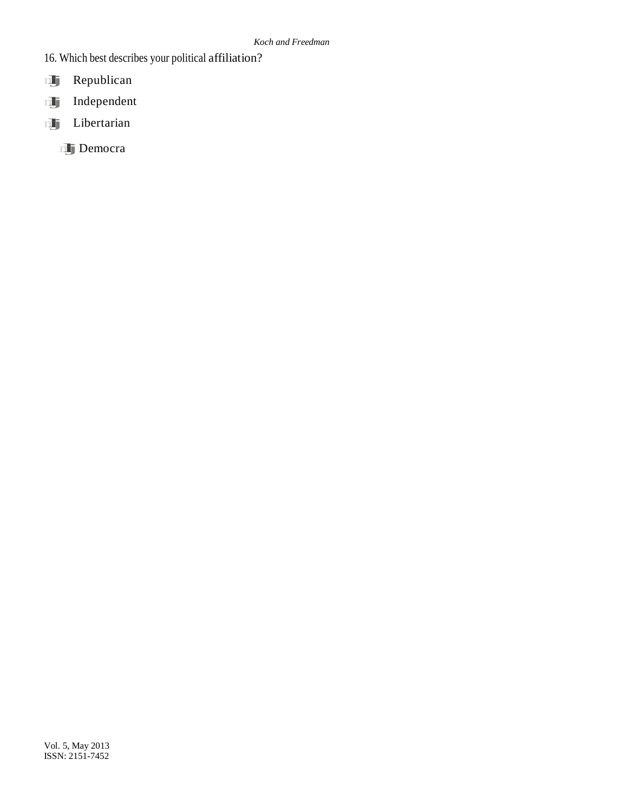- 16. Which best describes your political affiliation?<br>
Republican
- 
- mlj Republican<br>mlj Independent
- mlj Libertarian
	- mljDemocra